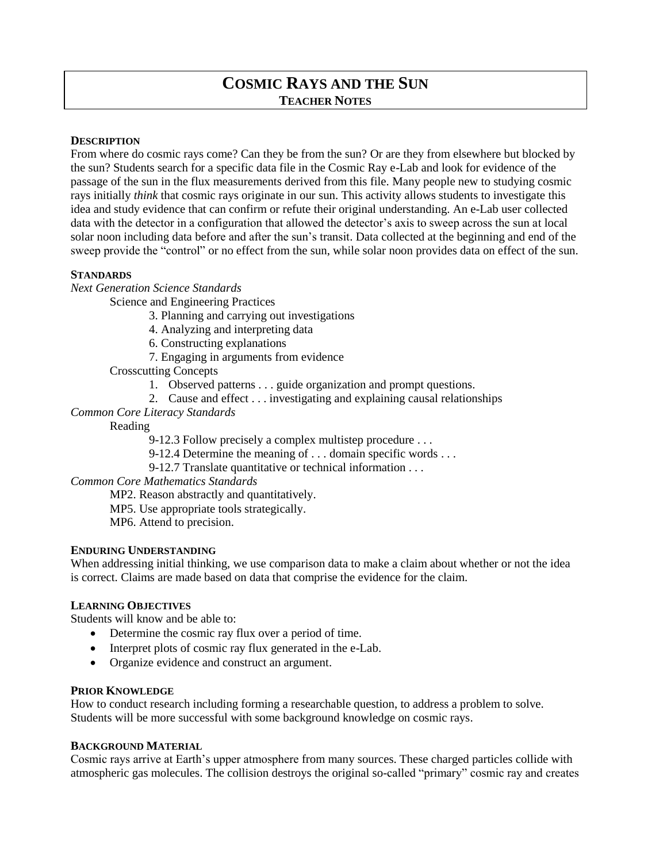# **COSMIC RAYS AND THE SUN TEACHER NOTES**

## **DESCRIPTION**

From where do cosmic rays come? Can they be from the sun? Or are they from elsewhere but blocked by the sun? Students search for a specific data file in the Cosmic Ray e-Lab and look for evidence of the passage of the sun in the flux measurements derived from this file. Many people new to studying cosmic rays initially *think* that cosmic rays originate in our sun. This activity allows students to investigate this idea and study evidence that can confirm or refute their original understanding. An e-Lab user collected data with the detector in a configuration that allowed the detector's axis to sweep across the sun at local solar noon including data before and after the sun's transit. Data collected at the beginning and end of the sweep provide the "control" or no effect from the sun, while solar noon provides data on effect of the sun.

#### **STANDARDS**

*Next Generation Science Standards*

- Science and Engineering Practices
	- 3. Planning and carrying out investigations
	- 4. Analyzing and interpreting data
	- 6. Constructing explanations
	- 7. Engaging in arguments from evidence
	- Crosscutting Concepts
		- 1. Observed patterns . . . guide organization and prompt questions.
		- 2. Cause and effect . . . investigating and explaining causal relationships
- *Common Core Literacy Standards*

Reading

- 9-12.3 Follow precisely a complex multistep procedure . . .
- 9-12.4 Determine the meaning of . . . domain specific words . . .
- 9-12.7 Translate quantitative or technical information . . .

*Common Core Mathematics Standards*

- MP2. Reason abstractly and quantitatively.
- MP5. Use appropriate tools strategically.
- MP6. Attend to precision.

### **ENDURING UNDERSTANDING**

When addressing initial thinking, we use comparison data to make a claim about whether or not the idea is correct. Claims are made based on data that comprise the evidence for the claim.

## **LEARNING OBJECTIVES**

Students will know and be able to:

- Determine the cosmic ray flux over a period of time.
- Interpret plots of cosmic ray flux generated in the e-Lab.
- Organize evidence and construct an argument.

### **PRIOR KNOWLEDGE**

How to conduct research including forming a researchable question, to address a problem to solve. Students will be more successful with some background knowledge on cosmic rays.

### **BACKGROUND MATERIAL**

Cosmic rays arrive at Earth's upper atmosphere from many sources. These charged particles collide with atmospheric gas molecules. The collision destroys the original so-called "primary" cosmic ray and creates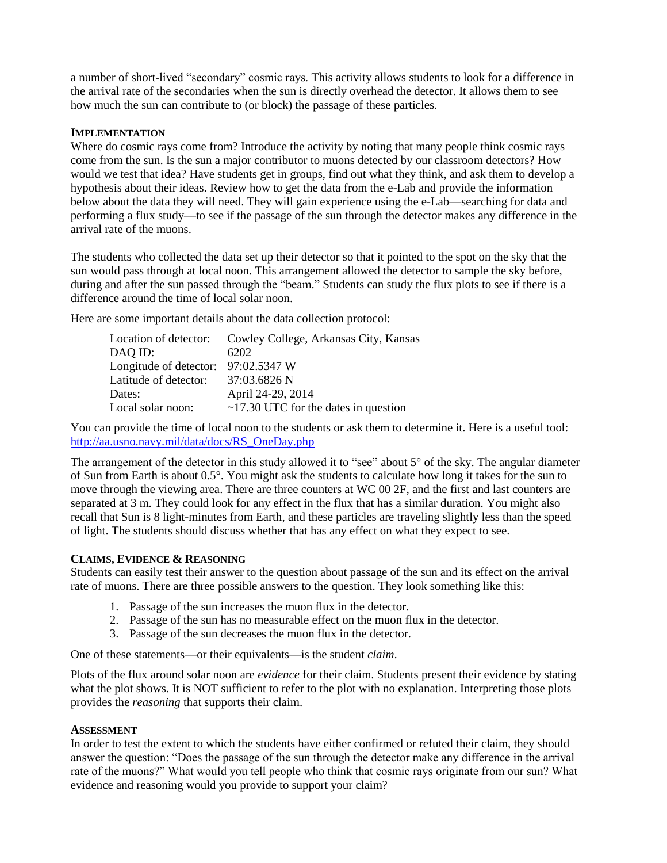a number of short-lived "secondary" cosmic rays. This activity allows students to look for a difference in the arrival rate of the secondaries when the sun is directly overhead the detector. It allows them to see how much the sun can contribute to (or block) the passage of these particles.

## **IMPLEMENTATION**

Where do cosmic rays come from? Introduce the activity by noting that many people think cosmic rays come from the sun. Is the sun a major contributor to muons detected by our classroom detectors? How would we test that idea? Have students get in groups, find out what they think, and ask them to develop a hypothesis about their ideas. Review how to get the data from the e-Lab and provide the information below about the data they will need. They will gain experience using the e-Lab—searching for data and performing a flux study—to see if the passage of the sun through the detector makes any difference in the arrival rate of the muons.

The students who collected the data set up their detector so that it pointed to the spot on the sky that the sun would pass through at local noon. This arrangement allowed the detector to sample the sky before, during and after the sun passed through the "beam." Students can study the flux plots to see if there is a difference around the time of local solar noon.

Here are some important details about the data collection protocol:

|                                     | Location of detector: Cowley College, Arkansas City, Kansas |
|-------------------------------------|-------------------------------------------------------------|
| DAQ ID:                             | 6202                                                        |
| Longitude of detector: 97:02.5347 W |                                                             |
| Latitude of detector:               | 37:03.6826 N                                                |
| Dates:                              | April 24-29, 2014                                           |
| Local solar noon:                   | $\sim$ 17.30 UTC for the dates in question                  |

You can provide the time of local noon to the students or ask them to determine it. Here is a useful tool: [http://aa.usno.navy.mil/data/docs/RS\\_OneDay.php](http://aa.usno.navy.mil/data/docs/RS_OneDay.php)

The arrangement of the detector in this study allowed it to "see" about 5° of the sky. The angular diameter of Sun from Earth is about 0.5°. You might ask the students to calculate how long it takes for the sun to move through the viewing area. There are three counters at WC 00 2F, and the first and last counters are separated at 3 m. They could look for any effect in the flux that has a similar duration. You might also recall that Sun is 8 light-minutes from Earth, and these particles are traveling slightly less than the speed of light. The students should discuss whether that has any effect on what they expect to see.

### **CLAIMS, EVIDENCE & REASONING**

Students can easily test their answer to the question about passage of the sun and its effect on the arrival rate of muons. There are three possible answers to the question. They look something like this:

- 1. Passage of the sun increases the muon flux in the detector.
- 2. Passage of the sun has no measurable effect on the muon flux in the detector.
- 3. Passage of the sun decreases the muon flux in the detector.

One of these statements—or their equivalents—is the student *claim*.

Plots of the flux around solar noon are *evidence* for their claim. Students present their evidence by stating what the plot shows. It is NOT sufficient to refer to the plot with no explanation. Interpreting those plots provides the *reasoning* that supports their claim.

### **ASSESSMENT**

In order to test the extent to which the students have either confirmed or refuted their claim, they should answer the question: "Does the passage of the sun through the detector make any difference in the arrival rate of the muons?" What would you tell people who think that cosmic rays originate from our sun? What evidence and reasoning would you provide to support your claim?